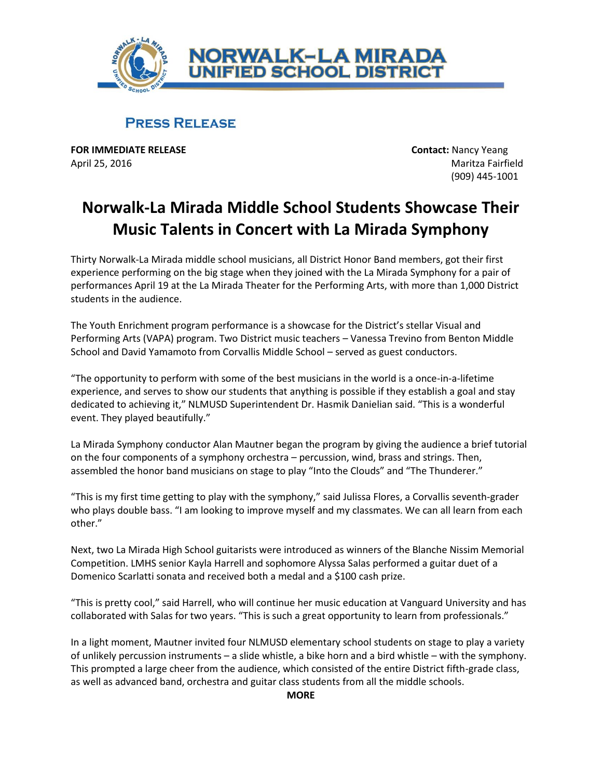

## **PRESS RELEASE**

**FOR IMMEDIATE RELEASE CONTACT:** Nancy Yeang April 25, 2016 Maritza Fairfield

(909) 445-1001

## **Norwalk-La Mirada Middle School Students Showcase Their Music Talents in Concert with La Mirada Symphony**

Thirty Norwalk-La Mirada middle school musicians, all District Honor Band members, got their first experience performing on the big stage when they joined with the La Mirada Symphony for a pair of performances April 19 at the La Mirada Theater for the Performing Arts, with more than 1,000 District students in the audience.

The Youth Enrichment program performance is a showcase for the District's stellar Visual and Performing Arts (VAPA) program. Two District music teachers – Vanessa Trevino from Benton Middle School and David Yamamoto from Corvallis Middle School – served as guest conductors.

"The opportunity to perform with some of the best musicians in the world is a once-in-a-lifetime experience, and serves to show our students that anything is possible if they establish a goal and stay dedicated to achieving it," NLMUSD Superintendent Dr. Hasmik Danielian said. "This is a wonderful event. They played beautifully."

La Mirada Symphony conductor Alan Mautner began the program by giving the audience a brief tutorial on the four components of a symphony orchestra – percussion, wind, brass and strings. Then, assembled the honor band musicians on stage to play "Into the Clouds" and "The Thunderer."

"This is my first time getting to play with the symphony," said Julissa Flores, a Corvallis seventh-grader who plays double bass. "I am looking to improve myself and my classmates. We can all learn from each other."

Next, two La Mirada High School guitarists were introduced as winners of the Blanche Nissim Memorial Competition. LMHS senior Kayla Harrell and sophomore Alyssa Salas performed a guitar duet of a Domenico Scarlatti sonata and received both a medal and a \$100 cash prize.

"This is pretty cool," said Harrell, who will continue her music education at Vanguard University and has collaborated with Salas for two years. "This is such a great opportunity to learn from professionals."

In a light moment, Mautner invited four NLMUSD elementary school students on stage to play a variety of unlikely percussion instruments – a slide whistle, a bike horn and a bird whistle – with the symphony. This prompted a large cheer from the audience, which consisted of the entire District fifth-grade class, as well as advanced band, orchestra and guitar class students from all the middle schools.

## **MORE**